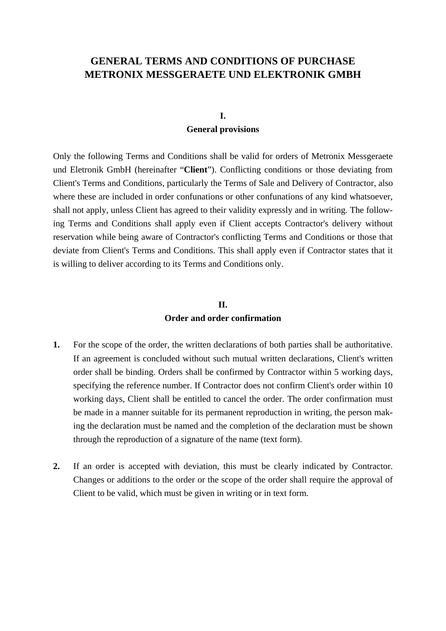# **GENERAL TERMS AND CONDITIONS OF PURCHASE METRONIX MESSGERAETE UND ELEKTRONIK GMBH**

#### **I.**

#### **General provisions**

Only the following Terms and Conditions shall be valid for orders of Metronix Messgeraete und Eletronik GmbH (hereinafter "**Client**"). Conflicting conditions or those deviating from Client's Terms and Conditions, particularly the Terms of Sale and Delivery of Contractor, also where these are included in order confunations or other confunations of any kind whatsoever, shall not apply, unless Client has agreed to their validity expressly and in writing. The following Terms and Conditions shall apply even if Client accepts Contractor's delivery without reservation while being aware of Contractor's conflicting Terms and Conditions or those that deviate from Client's Terms and Conditions. This shall apply even if Contractor states that it is willing to deliver according to its Terms and Conditions only.

# **II. Order and order confirmation**

- **1.** For the scope of the order, the written declarations of both parties shall be authoritative. If an agreement is concluded without such mutual written declarations, Client's written order shall be binding. Orders shall be confirmed by Contractor within 5 working days, specifying the reference number. If Contractor does not confirm Client's order within 10 working days, Client shall be entitled to cancel the order. The order confirmation must be made in a manner suitable for its permanent reproduction in writing, the person making the declaration must be named and the completion of the declaration must be shown through the reproduction of a signature of the name (text form).
- **2.** If an order is accepted with deviation, this must be clearly indicated by Contractor. Changes or additions to the order or the scope of the order shall require the approval of Client to be valid, which must be given in writing or in text form.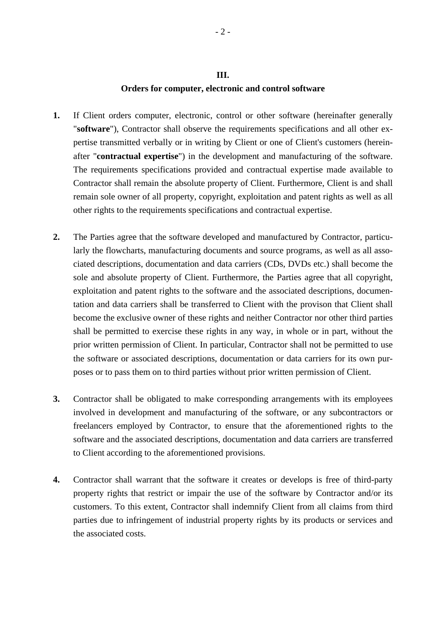#### **III.**

#### **Orders for computer, electronic and control software**

- **1.** If Client orders computer, electronic, control or other software (hereinafter generally "**software**"), Contractor shall observe the requirements specifications and all other expertise transmitted verbally or in writing by Client or one of Client's customers (hereinafter "**contractual expertise**") in the development and manufacturing of the software. The requirements specifications provided and contractual expertise made available to Contractor shall remain the absolute property of Client. Furthermore, Client is and shall remain sole owner of all property, copyright, exploitation and patent rights as well as all other rights to the requirements specifications and contractual expertise.
- **2.** The Parties agree that the software developed and manufactured by Contractor, particularly the flowcharts, manufacturing documents and source programs, as well as all associated descriptions, documentation and data carriers (CDs, DVDs etc.) shall become the sole and absolute property of Client. Furthermore, the Parties agree that all copyright, exploitation and patent rights to the software and the associated descriptions, documentation and data carriers shall be transferred to Client with the provison that Client shall become the exclusive owner of these rights and neither Contractor nor other third parties shall be permitted to exercise these rights in any way, in whole or in part, without the prior written permission of Client. In particular, Contractor shall not be permitted to use the software or associated descriptions, documentation or data carriers for its own purposes or to pass them on to third parties without prior written permission of Client.
- **3.** Contractor shall be obligated to make corresponding arrangements with its employees involved in development and manufacturing of the software, or any subcontractors or freelancers employed by Contractor, to ensure that the aforementioned rights to the software and the associated descriptions, documentation and data carriers are transferred to Client according to the aforementioned provisions.
- **4.** Contractor shall warrant that the software it creates or develops is free of third-party property rights that restrict or impair the use of the software by Contractor and/or its customers. To this extent, Contractor shall indemnify Client from all claims from third parties due to infringement of industrial property rights by its products or services and the associated costs.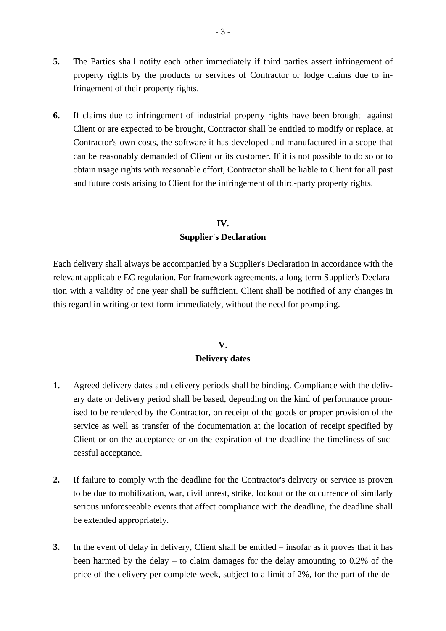- **5.** The Parties shall notify each other immediately if third parties assert infringement of property rights by the products or services of Contractor or lodge claims due to infringement of their property rights.
- **6.** If claims due to infringement of industrial property rights have been brought against Client or are expected to be brought, Contractor shall be entitled to modify or replace, at Contractor's own costs, the software it has developed and manufactured in a scope that can be reasonably demanded of Client or its customer. If it is not possible to do so or to obtain usage rights with reasonable effort, Contractor shall be liable to Client for all past and future costs arising to Client for the infringement of third-party property rights.

### **IV. Supplier's Declaration**

Each delivery shall always be accompanied by a Supplier's Declaration in accordance with the relevant applicable EC regulation. For framework agreements, a long-term Supplier's Declaration with a validity of one year shall be sufficient. Client shall be notified of any changes in this regard in writing or text form immediately, without the need for prompting.

# **V. Delivery dates**

- **1.** Agreed delivery dates and delivery periods shall be binding. Compliance with the delivery date or delivery period shall be based, depending on the kind of performance promised to be rendered by the Contractor, on receipt of the goods or proper provision of the service as well as transfer of the documentation at the location of receipt specified by Client or on the acceptance or on the expiration of the deadline the timeliness of successful acceptance.
- **2.** If failure to comply with the deadline for the Contractor's delivery or service is proven to be due to mobilization, war, civil unrest, strike, lockout or the occurrence of similarly serious unforeseeable events that affect compliance with the deadline, the deadline shall be extended appropriately.
- **3.** In the event of delay in delivery, Client shall be entitled insofar as it proves that it has been harmed by the delay – to claim damages for the delay amounting to 0.2% of the price of the delivery per complete week, subject to a limit of 2%, for the part of the de-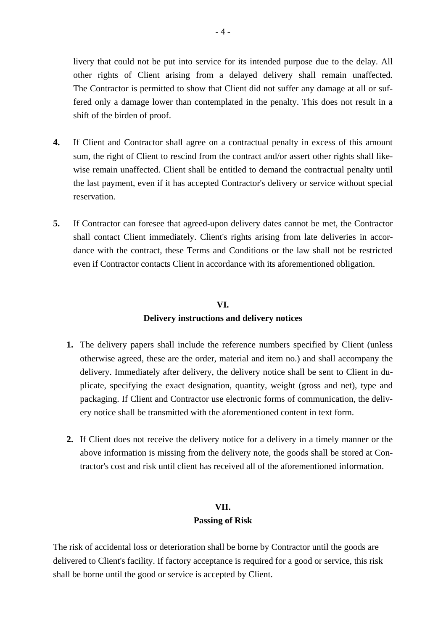livery that could not be put into service for its intended purpose due to the delay. All other rights of Client arising from a delayed delivery shall remain unaffected. The Contractor is permitted to show that Client did not suffer any damage at all or suffered only a damage lower than contemplated in the penalty. This does not result in a shift of the birden of proof.

- **4.** If Client and Contractor shall agree on a contractual penalty in excess of this amount sum, the right of Client to rescind from the contract and/or assert other rights shall likewise remain unaffected. Client shall be entitled to demand the contractual penalty until the last payment, even if it has accepted Contractor's delivery or service without special reservation.
- **5.** If Contractor can foresee that agreed-upon delivery dates cannot be met, the Contractor shall contact Client immediately. Client's rights arising from late deliveries in accordance with the contract, these Terms and Conditions or the law shall not be restricted even if Contractor contacts Client in accordance with its aforementioned obligation.

# **VI. Delivery instructions and delivery notices**

- **1.** The delivery papers shall include the reference numbers specified by Client (unless otherwise agreed, these are the order, material and item no.) and shall accompany the delivery. Immediately after delivery, the delivery notice shall be sent to Client in duplicate, specifying the exact designation, quantity, weight (gross and net), type and packaging. If Client and Contractor use electronic forms of communication, the delivery notice shall be transmitted with the aforementioned content in text form.
- **2.** If Client does not receive the delivery notice for a delivery in a timely manner or the above information is missing from the delivery note, the goods shall be stored at Contractor's cost and risk until client has received all of the aforementioned information.

### **VII.**

### **Passing of Risk**

The risk of accidental loss or deterioration shall be borne by Contractor until the goods are delivered to Client's facility. If factory acceptance is required for a good or service, this risk shall be borne until the good or service is accepted by Client.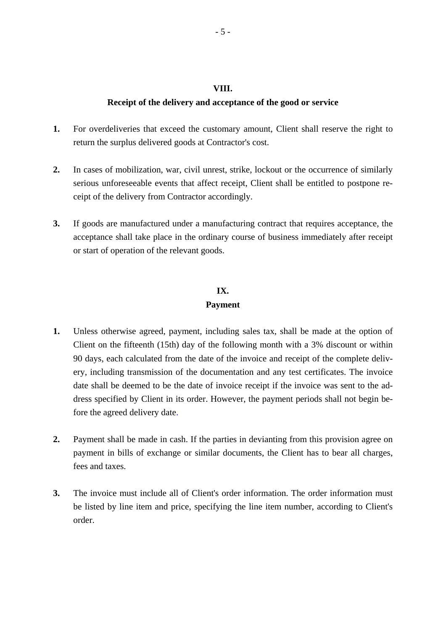#### **VIII.**

#### **Receipt of the delivery and acceptance of the good or service**

- **1.** For overdeliveries that exceed the customary amount, Client shall reserve the right to return the surplus delivered goods at Contractor's cost.
- **2.** In cases of mobilization, war, civil unrest, strike, lockout or the occurrence of similarly serious unforeseeable events that affect receipt, Client shall be entitled to postpone receipt of the delivery from Contractor accordingly.
- **3.** If goods are manufactured under a manufacturing contract that requires acceptance, the acceptance shall take place in the ordinary course of business immediately after receipt or start of operation of the relevant goods.

# **IX.**

#### **Payment**

- **1.** Unless otherwise agreed, payment, including sales tax, shall be made at the option of Client on the fifteenth (15th) day of the following month with a 3% discount or within 90 days, each calculated from the date of the invoice and receipt of the complete delivery, including transmission of the documentation and any test certificates. The invoice date shall be deemed to be the date of invoice receipt if the invoice was sent to the address specified by Client in its order. However, the payment periods shall not begin before the agreed delivery date.
- **2.** Payment shall be made in cash. If the parties in devianting from this provision agree on payment in bills of exchange or similar documents, the Client has to bear all charges, fees and taxes.
- **3.** The invoice must include all of Client's order information. The order information must be listed by line item and price, specifying the line item number, according to Client's order.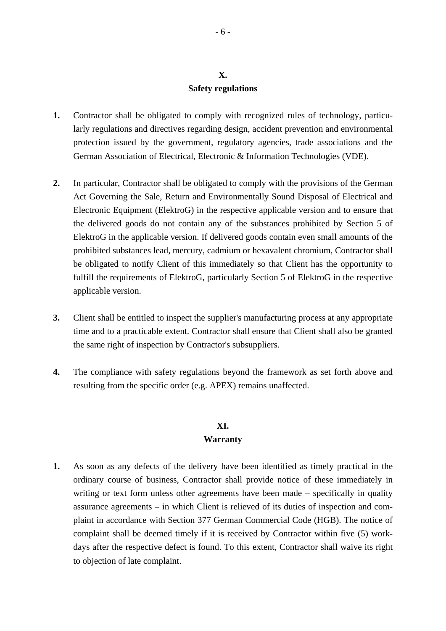# **X. Safety regulations**

- **1.** Contractor shall be obligated to comply with recognized rules of technology, particularly regulations and directives regarding design, accident prevention and environmental protection issued by the government, regulatory agencies, trade associations and the German Association of Electrical, Electronic & Information Technologies (VDE).
- **2.** In particular, Contractor shall be obligated to comply with the provisions of the German Act Governing the Sale, Return and Environmentally Sound Disposal of Electrical and Electronic Equipment (ElektroG) in the respective applicable version and to ensure that the delivered goods do not contain any of the substances prohibited by Section 5 of ElektroG in the applicable version. If delivered goods contain even small amounts of the prohibited substances lead, mercury, cadmium or hexavalent chromium, Contractor shall be obligated to notify Client of this immediately so that Client has the opportunity to fulfill the requirements of ElektroG, particularly Section 5 of ElektroG in the respective applicable version.
- **3.** Client shall be entitled to inspect the supplier's manufacturing process at any appropriate time and to a practicable extent. Contractor shall ensure that Client shall also be granted the same right of inspection by Contractor's subsuppliers.
- **4.** The compliance with safety regulations beyond the framework as set forth above and resulting from the specific order (e.g. APEX) remains unaffected.

# **XI.**

#### **Warranty**

**1.** As soon as any defects of the delivery have been identified as timely practical in the ordinary course of business, Contractor shall provide notice of these immediately in writing or text form unless other agreements have been made – specifically in quality assurance agreements – in which Client is relieved of its duties of inspection and complaint in accordance with Section 377 German Commercial Code (HGB). The notice of complaint shall be deemed timely if it is received by Contractor within five (5) workdays after the respective defect is found. To this extent, Contractor shall waive its right to objection of late complaint.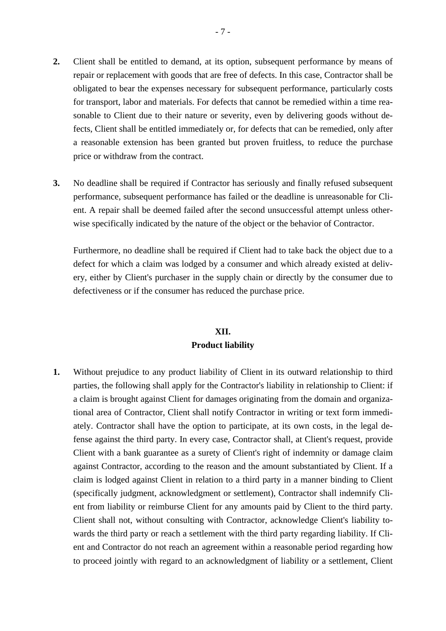- **2.** Client shall be entitled to demand, at its option, subsequent performance by means of repair or replacement with goods that are free of defects. In this case, Contractor shall be obligated to bear the expenses necessary for subsequent performance, particularly costs for transport, labor and materials. For defects that cannot be remedied within a time reasonable to Client due to their nature or severity, even by delivering goods without defects, Client shall be entitled immediately or, for defects that can be remedied, only after a reasonable extension has been granted but proven fruitless, to reduce the purchase price or withdraw from the contract.
- **3.** No deadline shall be required if Contractor has seriously and finally refused subsequent performance, subsequent performance has failed or the deadline is unreasonable for Client. A repair shall be deemed failed after the second unsuccessful attempt unless otherwise specifically indicated by the nature of the object or the behavior of Contractor.

 Furthermore, no deadline shall be required if Client had to take back the object due to a defect for which a claim was lodged by a consumer and which already existed at delivery, either by Client's purchaser in the supply chain or directly by the consumer due to defectiveness or if the consumer has reduced the purchase price.

# **XII. Product liability**

**1.** Without prejudice to any product liability of Client in its outward relationship to third parties, the following shall apply for the Contractor's liability in relationship to Client: if a claim is brought against Client for damages originating from the domain and organizational area of Contractor, Client shall notify Contractor in writing or text form immediately. Contractor shall have the option to participate, at its own costs, in the legal defense against the third party. In every case, Contractor shall, at Client's request, provide Client with a bank guarantee as a surety of Client's right of indemnity or damage claim against Contractor, according to the reason and the amount substantiated by Client. If a claim is lodged against Client in relation to a third party in a manner binding to Client (specifically judgment, acknowledgment or settlement), Contractor shall indemnify Client from liability or reimburse Client for any amounts paid by Client to the third party. Client shall not, without consulting with Contractor, acknowledge Client's liability towards the third party or reach a settlement with the third party regarding liability. If Client and Contractor do not reach an agreement within a reasonable period regarding how to proceed jointly with regard to an acknowledgment of liability or a settlement, Client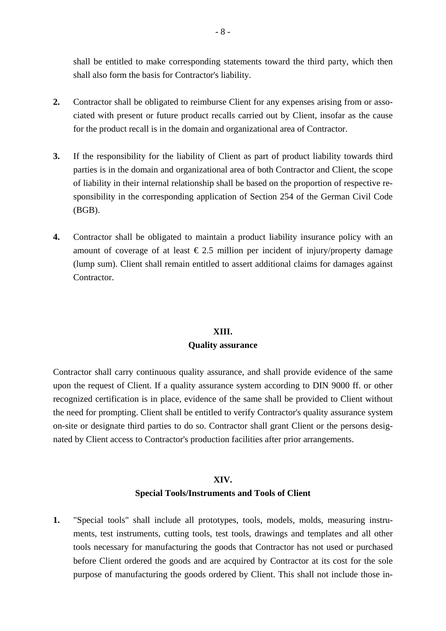shall be entitled to make corresponding statements toward the third party, which then shall also form the basis for Contractor's liability.

- **2.** Contractor shall be obligated to reimburse Client for any expenses arising from or associated with present or future product recalls carried out by Client, insofar as the cause for the product recall is in the domain and organizational area of Contractor.
- **3.** If the responsibility for the liability of Client as part of product liability towards third parties is in the domain and organizational area of both Contractor and Client, the scope of liability in their internal relationship shall be based on the proportion of respective responsibility in the corresponding application of Section 254 of the German Civil Code (BGB).
- **4.** Contractor shall be obligated to maintain a product liability insurance policy with an amount of coverage of at least  $\epsilon$  2.5 million per incident of injury/property damage (lump sum). Client shall remain entitled to assert additional claims for damages against Contractor.

#### **XIII.**

### **Quality assurance**

Contractor shall carry continuous quality assurance, and shall provide evidence of the same upon the request of Client. If a quality assurance system according to DIN 9000 ff. or other recognized certification is in place, evidence of the same shall be provided to Client without the need for prompting. Client shall be entitled to verify Contractor's quality assurance system on-site or designate third parties to do so. Contractor shall grant Client or the persons designated by Client access to Contractor's production facilities after prior arrangements.

#### **XIV.**

### **Special Tools/Instruments and Tools of Client**

**1.** "Special tools" shall include all prototypes, tools, models, molds, measuring instruments, test instruments, cutting tools, test tools, drawings and templates and all other tools necessary for manufacturing the goods that Contractor has not used or purchased before Client ordered the goods and are acquired by Contractor at its cost for the sole purpose of manufacturing the goods ordered by Client. This shall not include those in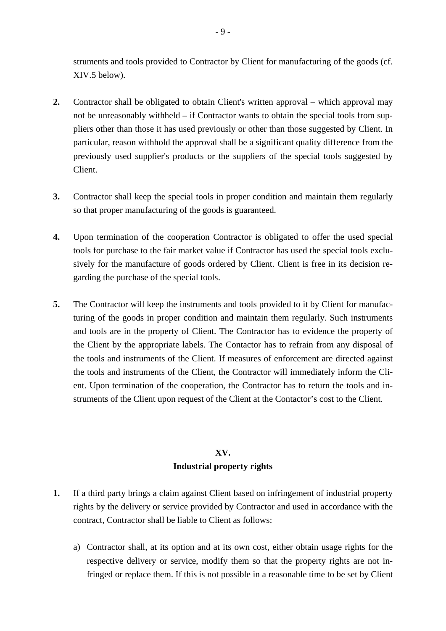struments and tools provided to Contractor by Client for manufacturing of the goods (cf. XIV.5 below).

- **2.** Contractor shall be obligated to obtain Client's written approval which approval may not be unreasonably withheld – if Contractor wants to obtain the special tools from suppliers other than those it has used previously or other than those suggested by Client. In particular, reason withhold the approval shall be a significant quality difference from the previously used supplier's products or the suppliers of the special tools suggested by Client.
- **3.** Contractor shall keep the special tools in proper condition and maintain them regularly so that proper manufacturing of the goods is guaranteed.
- **4.** Upon termination of the cooperation Contractor is obligated to offer the used special tools for purchase to the fair market value if Contractor has used the special tools exclusively for the manufacture of goods ordered by Client. Client is free in its decision regarding the purchase of the special tools.
- **5.** The Contractor will keep the instruments and tools provided to it by Client for manufacturing of the goods in proper condition and maintain them regularly. Such instruments and tools are in the property of Client. The Contractor has to evidence the property of the Client by the appropriate labels. The Contactor has to refrain from any disposal of the tools and instruments of the Client. If measures of enforcement are directed against the tools and instruments of the Client, the Contractor will immediately inform the Client. Upon termination of the cooperation, the Contractor has to return the tools and instruments of the Client upon request of the Client at the Contactor's cost to the Client.

# **XV. Industrial property rights**

- **1.** If a third party brings a claim against Client based on infringement of industrial property rights by the delivery or service provided by Contractor and used in accordance with the contract, Contractor shall be liable to Client as follows:
	- a) Contractor shall, at its option and at its own cost, either obtain usage rights for the respective delivery or service, modify them so that the property rights are not infringed or replace them. If this is not possible in a reasonable time to be set by Client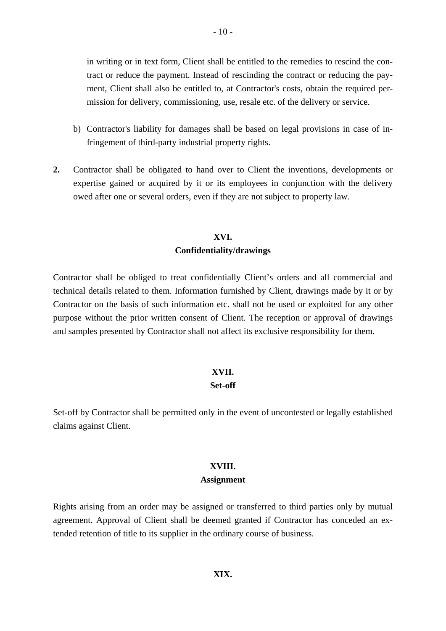in writing or in text form, Client shall be entitled to the remedies to rescind the contract or reduce the payment. Instead of rescinding the contract or reducing the payment, Client shall also be entitled to, at Contractor's costs, obtain the required permission for delivery, commissioning, use, resale etc. of the delivery or service.

- b) Contractor's liability for damages shall be based on legal provisions in case of infringement of third-party industrial property rights.
- **2.** Contractor shall be obligated to hand over to Client the inventions, developments or expertise gained or acquired by it or its employees in conjunction with the delivery owed after one or several orders, even if they are not subject to property law.

### **XVI. Confidentiality/drawings**

Contractor shall be obliged to treat confidentially Client's orders and all commercial and technical details related to them. Information furnished by Client, drawings made by it or by Contractor on the basis of such information etc. shall not be used or exploited for any other purpose without the prior written consent of Client. The reception or approval of drawings and samples presented by Contractor shall not affect its exclusive responsibility for them.

# **XVII.**

### **Set-off**

Set-off by Contractor shall be permitted only in the event of uncontested or legally established claims against Client.

### **XVIII.**

#### **Assignment**

Rights arising from an order may be assigned or transferred to third parties only by mutual agreement. Approval of Client shall be deemed granted if Contractor has conceded an extended retention of title to its supplier in the ordinary course of business.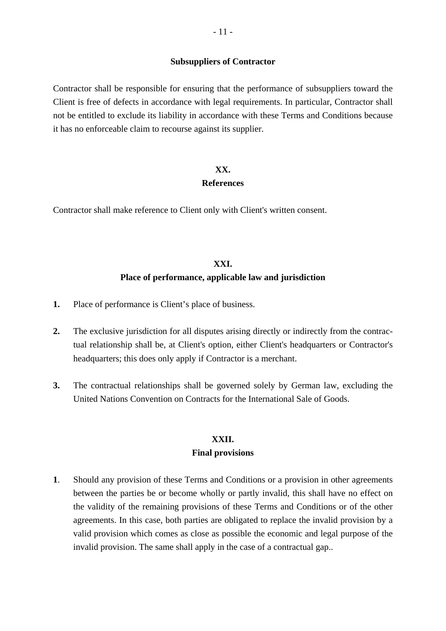#### **Subsuppliers of Contractor**

Contractor shall be responsible for ensuring that the performance of subsuppliers toward the Client is free of defects in accordance with legal requirements. In particular, Contractor shall not be entitled to exclude its liability in accordance with these Terms and Conditions because it has no enforceable claim to recourse against its supplier.

# **XX.**

#### **References**

Contractor shall make reference to Client only with Client's written consent.

# **XXI. Place of performance, applicable law and jurisdiction**

- **1.** Place of performance is Client's place of business.
- **2.** The exclusive jurisdiction for all disputes arising directly or indirectly from the contractual relationship shall be, at Client's option, either Client's headquarters or Contractor's headquarters; this does only apply if Contractor is a merchant.
- **3.** The contractual relationships shall be governed solely by German law, excluding the United Nations Convention on Contracts for the International Sale of Goods.

# **XXII.**

#### **Final provisions**

**1**. Should any provision of these Terms and Conditions or a provision in other agreements between the parties be or become wholly or partly invalid, this shall have no effect on the validity of the remaining provisions of these Terms and Conditions or of the other agreements. In this case, both parties are obligated to replace the invalid provision by a valid provision which comes as close as possible the economic and legal purpose of the invalid provision. The same shall apply in the case of a contractual gap..